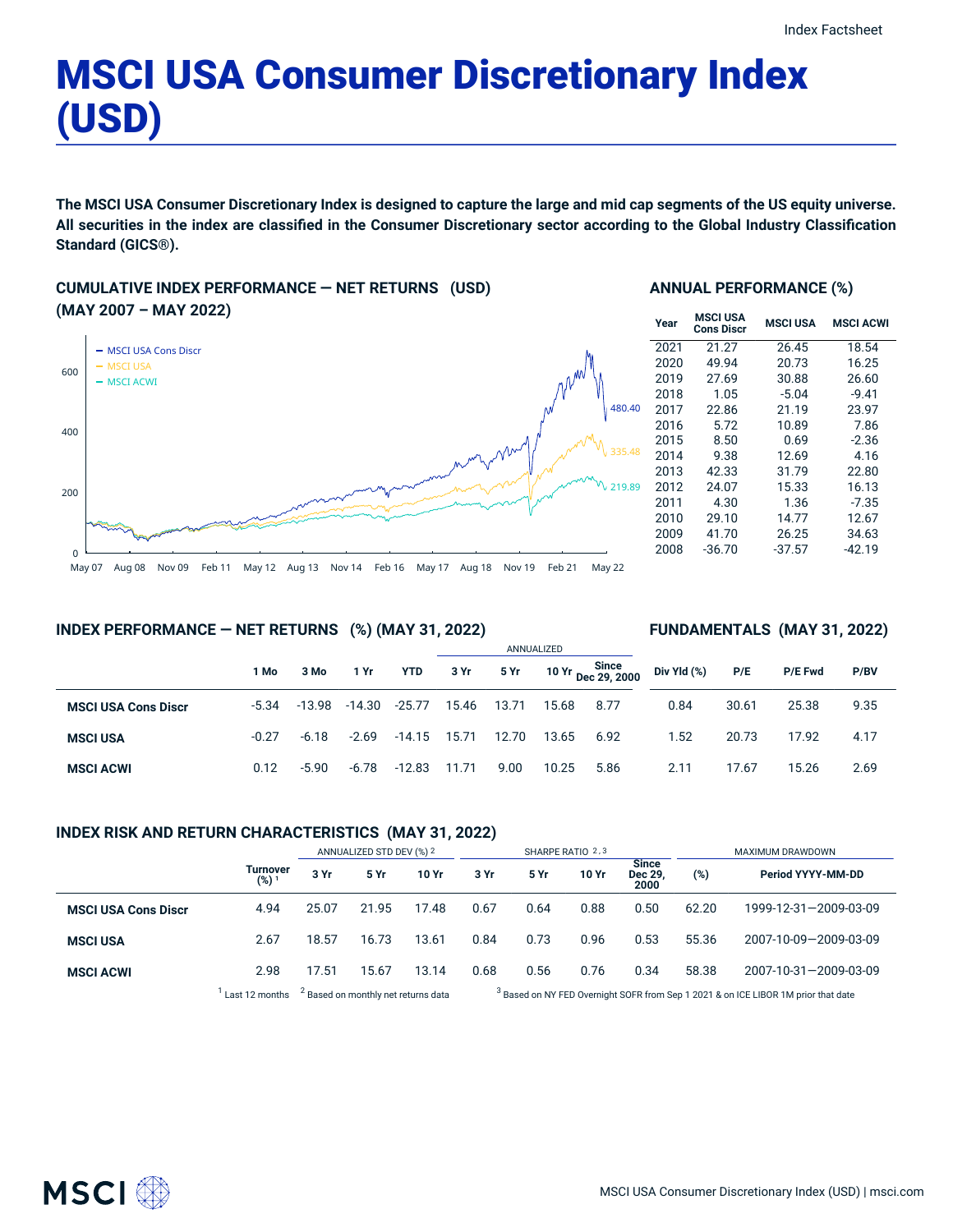# MSCI USA Consumer Discretionary Index (USD)

The MSCI USA Consumer Discretionary Index is designed to capture the large and mid cap segments of the US equity universe. All securities in the index are classified in the Consumer Discretionary sector according to the Global Industry Classification **Standard (GICS®).**

**CUMULATIVE INDEX PERFORMANCE — NET RETURNS (USD) (MAY 2007 – MAY 2022)**



### **ANNUAL PERFORMANCE (%)**

| Year | <b>MSCI USA</b><br><b>Cons Discr</b> | <b>MSCI USA</b> | <b>MSCI ACWI</b> |
|------|--------------------------------------|-----------------|------------------|
| 2021 | 21.27                                | 26.45           | 18.54            |
| 2020 | 49.94                                | 20.73           | 16.25            |
| 2019 | 27.69                                | 30.88           | 26.60            |
| 2018 | 1.05                                 | $-5.04$         | $-9.41$          |
| 2017 | 22.86                                | 21.19           | 23.97            |
| 2016 | 5.72                                 | 10.89           | 7.86             |
| 2015 | 8.50                                 | 0.69            | $-2.36$          |
| 2014 | 9.38                                 | 12.69           | 4.16             |
| 2013 | 42.33                                | 31.79           | 22.80            |
| 2012 | 24.07                                | 15.33           | 16.13            |
| 2011 | 4.30                                 | 1.36            | $-7.35$          |
| 2010 | 29.10                                | 14.77           | 12.67            |
| 2009 | 41.70                                | 26.25           | 34.63            |
| 2008 | $-36.70$                             | $-37.57$        | -42.19           |

### **INDEX PERFORMANCE — NET RETURNS (%) (MAY 31, 2022)**

### **FUNDAMENTALS (MAY 31, 2022)**

|                            |         |          |          |            | ANNUALIZED |       |       |                             |             |       |                |      |
|----------------------------|---------|----------|----------|------------|------------|-------|-------|-----------------------------|-------------|-------|----------------|------|
|                            | 1 Mo    | 3 Mo     | 1 Yr     | <b>YTD</b> | 3 Yr       | 5 Yr  |       | 10 Yr Since<br>Dec 29, 2000 | Div Yld (%) | P/E   | <b>P/E Fwd</b> | P/BV |
| <b>MSCI USA Cons Discr</b> | $-5.34$ | $-13.98$ | $-14.30$ | $-25.77$   | 15.46      | 13.71 | 15.68 | 8.77                        | 0.84        | 30.61 | 25.38          | 9.35 |
| <b>MSCI USA</b>            | $-0.27$ | $-6.18$  | $-2.69$  | -14.15     | 15.71      | 12.70 | 13.65 | 6.92                        | 1.52        | 20.73 | 17.92          | 4.17 |
| <b>MSCI ACWI</b>           | 0.12    | $-5.90$  | -6.78    | $-12.83$   | 11.71      | 9.00  | 10.25 | 5.86                        | 2.11        | 17.67 | 15.26          | 2.69 |

### **INDEX RISK AND RETURN CHARACTERISTICS (MAY 31, 2022)**

|                            |                                     | ANNUALIZED STD DEV (%) 2 |       | SHARPE RATIO 2,3 |      |      |       | MAXIMUM DRAWDOWN                      |        |                       |
|----------------------------|-------------------------------------|--------------------------|-------|------------------|------|------|-------|---------------------------------------|--------|-----------------------|
|                            | <b>Turnover</b><br>(%) <sup>1</sup> | 3 Yr                     | 5 Yr  | 10 Yr            | 3 Yr | 5 Yr | 10 Yr | <b>Since</b><br><b>Dec 29</b><br>2000 | $(\%)$ | Period YYYY-MM-DD     |
| <b>MSCI USA Cons Discr</b> | 4.94                                | 25.07                    | 21.95 | 17.48            | 0.67 | 0.64 | 0.88  | 0.50                                  | 62.20  | 1999-12-31-2009-03-09 |
| <b>MSCI USA</b>            | 2.67                                | 18.57                    | 16.73 | 13.61            | 0.84 | 0.73 | 0.96  | 0.53                                  | 55.36  | 2007-10-09-2009-03-09 |
| <b>MSCI ACWI</b>           | 2.98                                | 17.51                    | 15.67 | 13.14            | 0.68 | 0.56 | 0.76  | 0.34                                  | 58.38  | 2007-10-31-2009-03-09 |

 $1$  Last 12 months  $3$  Based on monthly net returns data  $3$ 

<sup>3</sup> Based on NY FED Overnight SOFR from Sep 1 2021 & on ICE LIBOR 1M prior that date

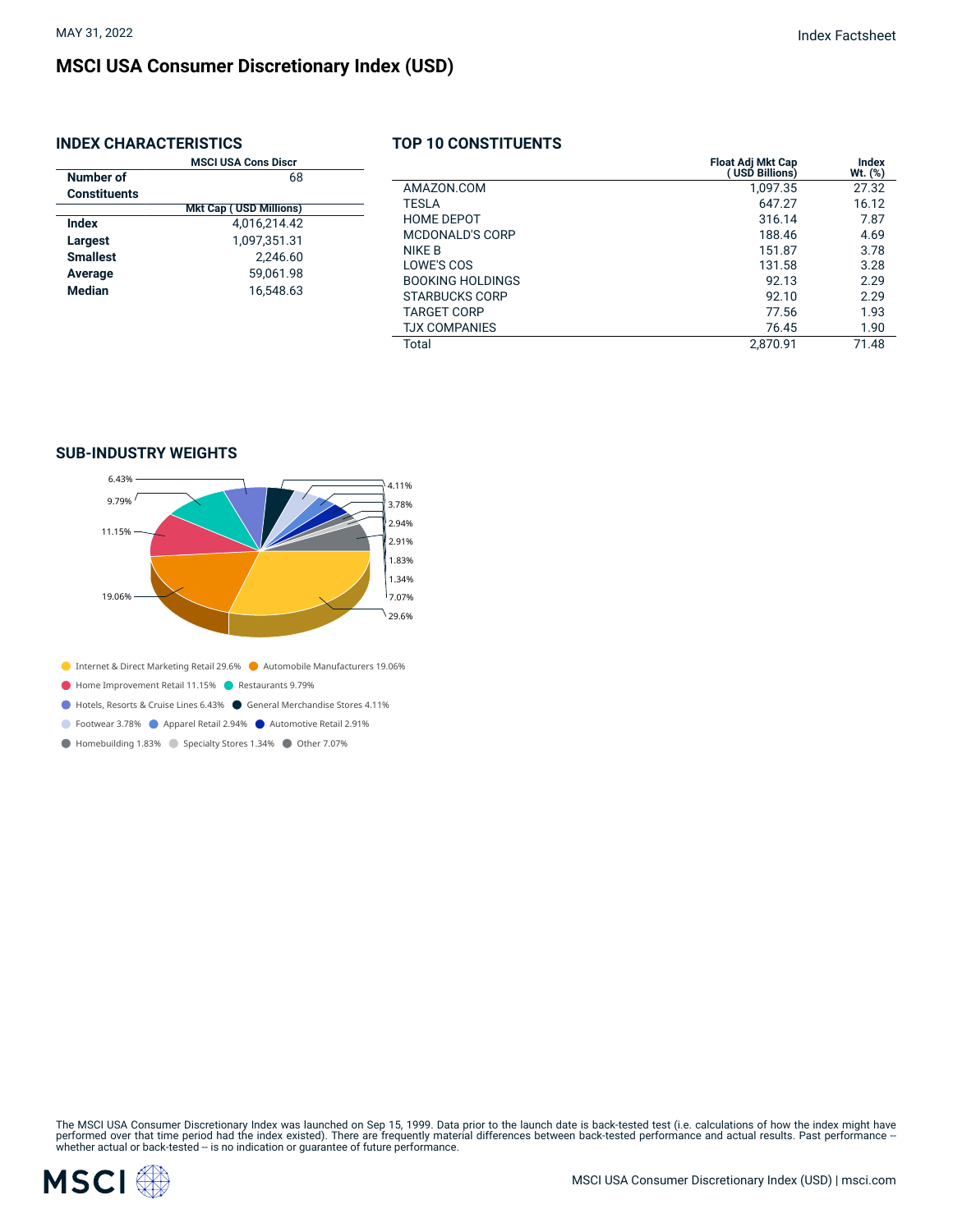$\overline{a}$ 

## **MSCI USA Consumer Discretionary Index (USD)**

### **INDEX CHARACTERISTICS**

|  | TOP 10 CONSTITUENTS |  |  |
|--|---------------------|--|--|
|  |                     |  |  |

|                     | <b>MSCI USA Cons Discr</b>                          |                         | <b>Float Adj Mkt Cap</b> | Index   |
|---------------------|-----------------------------------------------------|-------------------------|--------------------------|---------|
| Number of           | 68                                                  |                         | (USD Billions)           | Wt. (%) |
| <b>Constituents</b> |                                                     | AMAZON.COM              | 1.097.35                 | 27.32   |
|                     | <b>Mkt Cap (USD Millions)</b>                       | TESLA                   | 647.27                   | 16.12   |
| <b>Index</b>        | 4,016,214.42                                        | <b>HOME DEPOT</b>       | 316.14                   | 7.87    |
| Largest             | 1,097,351.31                                        | <b>MCDONALD'S CORP</b>  | 188.46                   | 4.69    |
|                     | <b>Smallest</b><br>2,246.60<br>59,061.98<br>Average | NIKE B                  | 151.87                   | 3.78    |
|                     |                                                     | LOWE'S COS              | 131.58                   | 3.28    |
|                     |                                                     | <b>BOOKING HOLDINGS</b> | 92.13                    | 2.29    |
| Median<br>16,548.63 | <b>STARBUCKS CORP</b>                               | 92.10                   | 2.29                     |         |
|                     |                                                     | <b>TARGET CORP</b>      | 77.56                    | 1.93    |
|                     |                                                     | <b>TJX COMPANIES</b>    | 76.45                    | 1.90    |
|                     |                                                     | Total                   | 2,870.91                 | 71.48   |
|                     |                                                     |                         |                          |         |

### **SUB-INDUSTRY WEIGHTS**



- Internet & Direct Marketing Retail 29.6% Automobile Manufacturers 19.06%
- Home Improvement Retail 11.15% Restaurants 9.79%
- Hotels, Resorts & Cruise Lines 6.43% General Merchandise Stores 4.11%
- **C** Footwear 3.78% **C** Apparel Retail 2.94% **C** Automotive Retail 2.91%
- Homebuilding 1.83% Specialty Stores 1.34% Other 7.07%

The MSCI USA Consumer Discretionary Index was launched on Sep 15, 1999. Data prior to the launch date is back-tested test (i.e. calculations of how the index might have<br>performed over that time period had the index existed